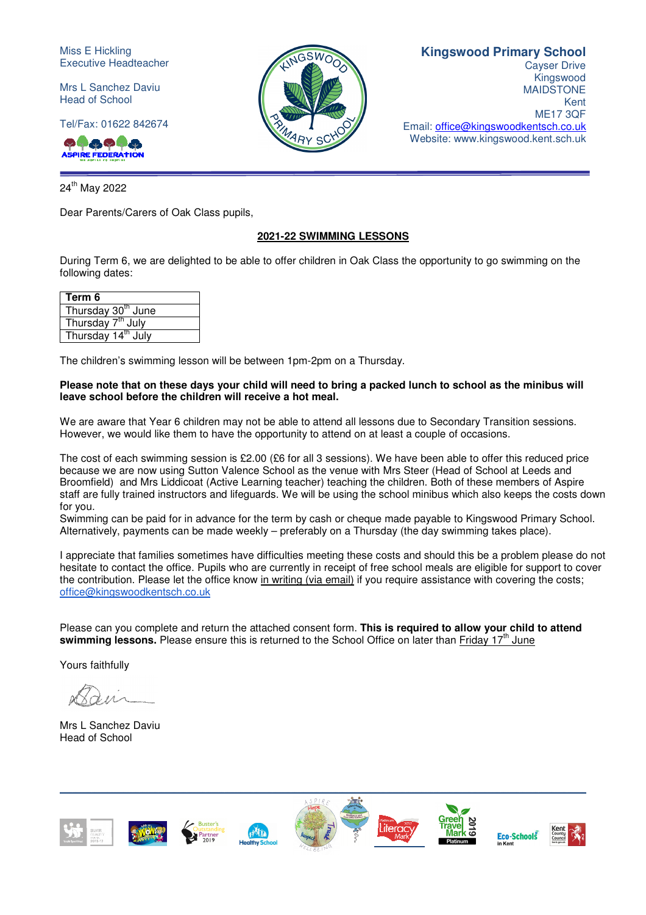Miss E Hickling Executive Headteacher

Mrs L Sanchez Daviu Head of School

Tel/Fax: 01622 842674

00000A **RE FEDERATION** 

24<sup>th</sup> May 2022

Dear Parents/Carers of Oak Class pupils,

### **2021-22 SWIMMING LESSONS**

During Term 6, we are delighted to be able to offer children in Oak Class the opportunity to go swimming on the following dates:

| Term 6                         |
|--------------------------------|
| Thursday 30 <sup>th</sup> June |
| Thursday 7 <sup>th</sup> July  |
| Thursday 14 <sup>th</sup> July |

The children's swimming lesson will be between 1pm-2pm on a Thursday.

### **Please note that on these days your child will need to bring a packed lunch to school as the minibus will leave school before the children will receive a hot meal.**

We are aware that Year 6 children may not be able to attend all lessons due to Secondary Transition sessions. However, we would like them to have the opportunity to attend on at least a couple of occasions.

The cost of each swimming session is £2.00 (£6 for all 3 sessions). We have been able to offer this reduced price because we are now using Sutton Valence School as the venue with Mrs Steer (Head of School at Leeds and Broomfield) and Mrs Liddicoat (Active Learning teacher) teaching the children. Both of these members of Aspire staff are fully trained instructors and lifeguards. We will be using the school minibus which also keeps the costs down for you.

Swimming can be paid for in advance for the term by cash or cheque made payable to Kingswood Primary School. Alternatively, payments can be made weekly – preferably on a Thursday (the day swimming takes place).

I appreciate that families sometimes have difficulties meeting these costs and should this be a problem please do not hesitate to contact the office. Pupils who are currently in receipt of free school meals are eligible for support to cover the contribution. Please let the office know in writing (via email) if you require assistance with covering the costs; office@kingswoodkentsch.co.uk

Please can you complete and return the attached consent form. **This is required to allow your child to attend**  swimming lessons. Please ensure this is returned to the School Office on later than Friday 17<sup>th</sup> June

Yours faithfully

Mrs L Sanchez Daviu Head of School





## **Kingswood Primary School**

Cayser Drive Kingswood MAIDSTONE Kent ME17 3QF Email: office@kingswoodkentsch.co.uk Website: www.kingswood.kent.sch.uk